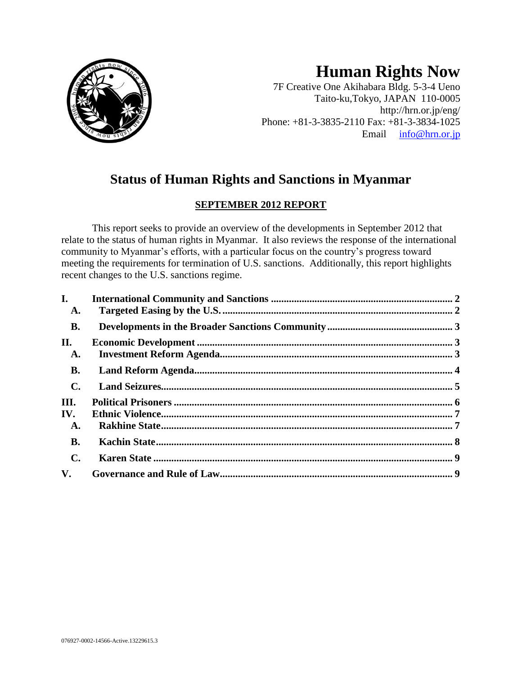

# **Human Rights Now**

7F Creative One Akihabara Bldg. 5-3-4 Ueno Taito-ku,Tokyo, JAPAN 110-0005 http://hrn.or.jp/eng/ Phone: +81-3-3835-2110 Fax: +81-3-3834-1025 Email [info@hrn.or.jp](mailto:info@hrn.or.jp)

## **Status of Human Rights and Sanctions in Myanmar**

### **SEPTEMBER 2012 REPORT**

This report seeks to provide an overview of the developments in September 2012 that relate to the status of human rights in Myanmar. It also reviews the response of the international community to Myanmar's efforts, with a particular focus on the country's progress toward meeting the requirements for termination of U.S. sanctions. Additionally, this report highlights recent changes to the U.S. sanctions regime.

| $\mathbf{I}$ .         |  |
|------------------------|--|
| A.                     |  |
| <b>B.</b>              |  |
| П.                     |  |
| A.                     |  |
| <b>B.</b>              |  |
| $\mathbf{C}$ .         |  |
| III.                   |  |
| IV.                    |  |
| A.                     |  |
| <b>B.</b>              |  |
| $\mathbf{C}$ .         |  |
| $\mathbf{V}_{\bullet}$ |  |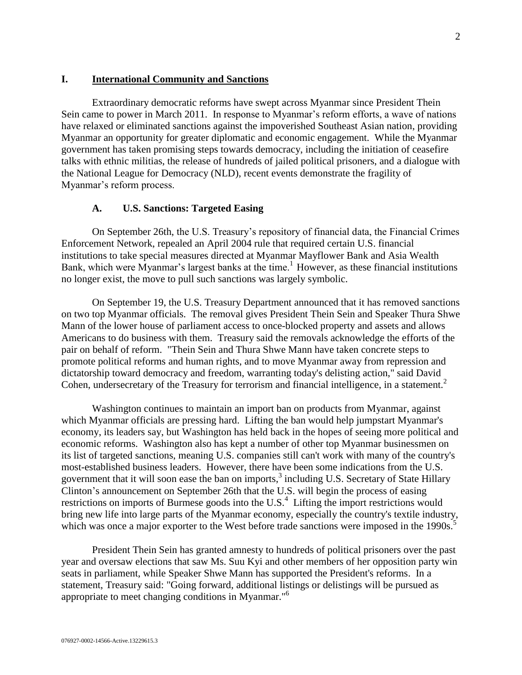#### <span id="page-1-0"></span>**I. International Community and Sanctions**

Extraordinary democratic reforms have swept across Myanmar since President Thein Sein came to power in March 2011. In response to Myanmar's reform efforts, a wave of nations have relaxed or eliminated sanctions against the impoverished Southeast Asian nation, providing Myanmar an opportunity for greater diplomatic and economic engagement. While the Myanmar government has taken promising steps towards democracy, including the initiation of ceasefire talks with ethnic militias, the release of hundreds of jailed political prisoners, and a dialogue with the National League for Democracy (NLD), recent events demonstrate the fragility of Myanmar's reform process.

#### **A. U.S. Sanctions: Targeted Easing**

<span id="page-1-1"></span>On September 26th, the U.S. Treasury's repository of financial data, the Financial Crimes Enforcement Network, repealed an April 2004 rule that required certain U.S. financial institutions to take special measures directed at Myanmar Mayflower Bank and Asia Wealth Bank, which were Myanmar's largest banks at the time.<sup>1</sup> However, as these financial institutions no longer exist, the move to pull such sanctions was largely symbolic.

On September 19, the U.S. Treasury Department announced that it has removed sanctions on two top Myanmar officials. The removal gives President Thein Sein and Speaker Thura Shwe Mann of the lower house of parliament access to once-blocked property and assets and allows Americans to do business with them. Treasury said the removals acknowledge the efforts of the pair on behalf of reform. "Thein Sein and Thura Shwe Mann have taken concrete steps to promote political reforms and human rights, and to move Myanmar away from repression and dictatorship toward democracy and freedom, warranting today's delisting action," said David Cohen, undersecretary of the Treasury for terrorism and financial intelligence, in a statement.<sup>2</sup>

Washington continues to maintain an import ban on products from Myanmar, against which Myanmar officials are pressing hard. Lifting the ban would help jumpstart Myanmar's economy, its leaders say, but Washington has held back in the hopes of seeing more political and economic reforms. Washington also has kept a number of other top Myanmar businessmen on its list of targeted sanctions, meaning U.S. companies still can't work with many of the country's most-established business leaders. However, there have been some indications from the U.S. government that it will soon ease the ban on imports, $3$  including U.S. Secretary of State Hillary Clinton's announcement on September 26th that the U.S. will begin the process of easing restrictions on imports of Burmese goods into the  $U.S.<sup>4</sup>$  Lifting the import restrictions would bring new life into large parts of the Myanmar economy, especially the country's textile industry, which was once a major exporter to the West before trade sanctions were imposed in the 1990s.<sup>5</sup>

President Thein Sein has granted amnesty to hundreds of political prisoners over the past year and oversaw elections that saw Ms. Suu Kyi and other members of her opposition party win seats in parliament, while Speaker Shwe Mann has supported the President's reforms. In a statement, Treasury said: "Going forward, additional listings or delistings will be pursued as appropriate to meet changing conditions in Myanmar."<sup>6</sup>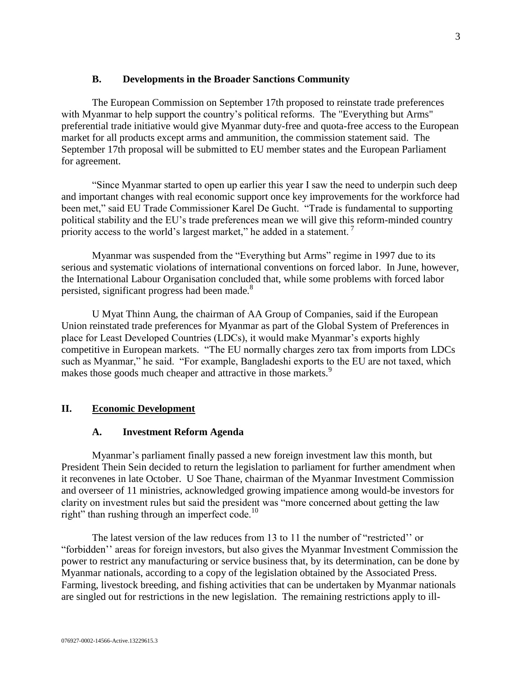#### **B. Developments in the Broader Sanctions Community**

<span id="page-2-0"></span>The European Commission on September 17th proposed to reinstate trade preferences with Myanmar to help support the country's political reforms. The "Everything but Arms" preferential trade initiative would give Myanmar duty-free and quota-free access to the European market for all products except arms and ammunition, the commission statement said. The September 17th proposal will be submitted to EU member states and the European Parliament for agreement.

"Since Myanmar started to open up earlier this year I saw the need to underpin such deep and important changes with real economic support once key improvements for the workforce had been met," said EU Trade Commissioner Karel De Gucht. "Trade is fundamental to supporting political stability and the EU's trade preferences mean we will give this reform-minded country priority access to the world's largest market," he added in a statement.<sup>7</sup>

Myanmar was suspended from the "Everything but Arms" regime in 1997 due to its serious and systematic violations of international conventions on forced labor. In June, however, the International Labour Organisation concluded that, while some problems with forced labor persisted, significant progress had been made.<sup>8</sup>

U Myat Thinn Aung, the chairman of AA Group of Companies, said if the European Union reinstated trade preferences for Myanmar as part of the Global System of Preferences in place for Least Developed Countries (LDCs), it would make Myanmar's exports highly competitive in European markets. "The EU normally charges zero tax from imports from LDCs such as Myanmar," he said. "For example, Bangladeshi exports to the EU are not taxed, which makes those goods much cheaper and attractive in those markets.<sup>9</sup>

#### <span id="page-2-2"></span><span id="page-2-1"></span>**II. Economic Development**

#### **A. Investment Reform Agenda**

Myanmar's parliament finally passed a new foreign investment law this month, but President Thein Sein decided to return the legislation to parliament for further amendment when it reconvenes in late October. U Soe Thane, chairman of the Myanmar Investment Commission and overseer of 11 ministries, acknowledged growing impatience among would-be investors for clarity on investment rules but said the president was "more concerned about getting the law right" than rushing through an imperfect code.<sup>10</sup>

The latest version of the law reduces from 13 to 11 the number of "restricted'' or "forbidden'' areas for foreign investors, but also gives the Myanmar Investment Commission the power to restrict any manufacturing or service business that, by its determination, can be done by Myanmar nationals, according to a copy of the legislation obtained by the Associated Press. Farming, livestock breeding, and fishing activities that can be undertaken by Myanmar nationals are singled out for restrictions in the new legislation. The remaining restrictions apply to ill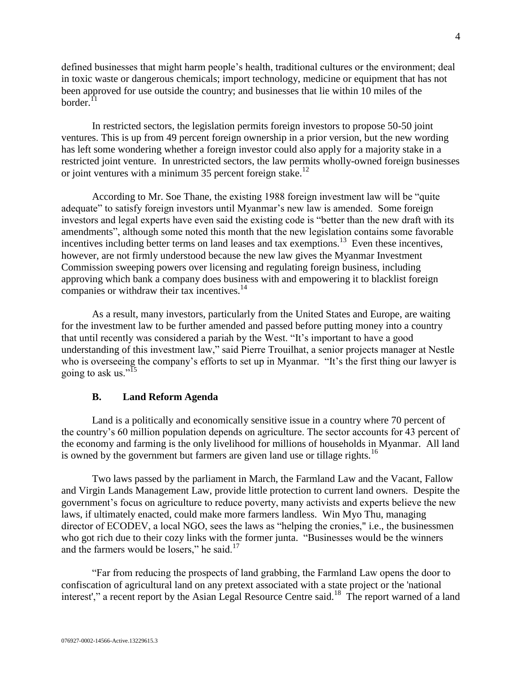defined businesses that might harm people's health, traditional cultures or the environment; deal in toxic waste or dangerous chemicals; import technology, medicine or equipment that has not been approved for use outside the country; and businesses that lie within 10 miles of the border. $^{11}$ 

In restricted sectors, the legislation permits foreign investors to propose 50-50 joint ventures. This is up from 49 percent foreign ownership in a prior version, but the new wording has left some wondering whether a foreign investor could also apply for a majority stake in a restricted joint venture. In unrestricted sectors, the law permits wholly-owned foreign businesses or joint ventures with a minimum 35 percent foreign stake.<sup>12</sup>

According to Mr. Soe Thane, the existing 1988 foreign investment law will be "quite adequate" to satisfy foreign investors until Myanmar's new law is amended. Some foreign investors and legal experts have even said the existing code is "better than the new draft with its amendments", although some noted this month that the new legislation contains some favorable incentives including better terms on land leases and tax exemptions.<sup>13</sup> Even these incentives, however, are not firmly understood because the new law gives the Myanmar Investment Commission sweeping powers over licensing and regulating foreign business, including approving which bank a company does business with and empowering it to blacklist foreign companies or withdraw their tax incentives.<sup>14</sup>

As a result, many investors, particularly from the United States and Europe, are waiting for the investment law to be further amended and passed before putting money into a country that until recently was considered a pariah by the West. "It's important to have a good understanding of this investment law," said Pierre Trouilhat, a senior projects manager at Nestle who is overseeing the company's efforts to set up in Myanmar. "It's the first thing our lawyer is going to ask us."<sup>15</sup>

#### **B. Land Reform Agenda**

<span id="page-3-0"></span>Land is a politically and economically sensitive issue in a country where 70 percent of the country's 60 million population depends on agriculture. The sector accounts for 43 percent of the economy and farming is the only livelihood for millions of households in Myanmar. All land is owned by the government but farmers are given land use or tillage rights.<sup>16</sup>

Two laws passed by the parliament in March, the Farmland Law and the Vacant, Fallow and Virgin Lands Management Law, provide little protection to current land owners. Despite the government's focus on agriculture to reduce poverty, many activists and experts believe the new laws, if ultimately enacted, could make more farmers landless. Win Myo Thu, managing director of ECODEV, a local NGO, sees the laws as "helping the cronies," i.e., the businessmen who got rich due to their cozy links with the former junta. "Businesses would be the winners and the farmers would be losers," he said. $17$ 

"Far from reducing the prospects of land grabbing, the Farmland Law opens the door to confiscation of agricultural land on any pretext associated with a state project or the 'national interest'," a [recent report by the Asian Legal Resource Centre](http://www.burmapartnership.org/2012/06/myanmar-myanmar-at-risk-of-land-grabbing-epidemic/) said.<sup>18</sup> The report warned of a land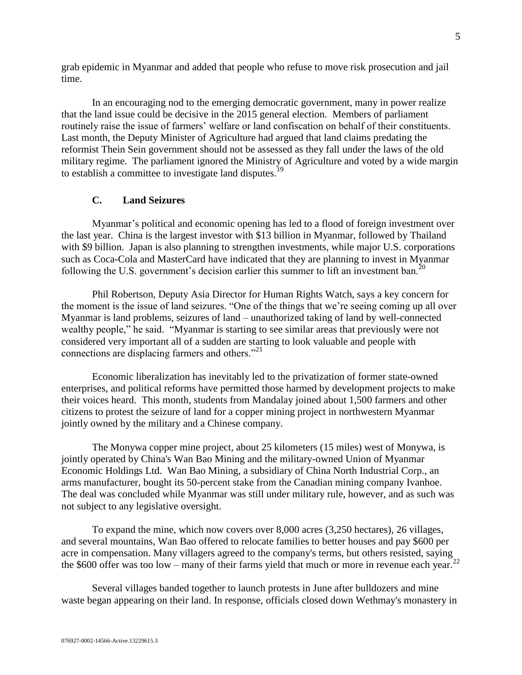grab epidemic in Myanmar and added that people who refuse to move risk prosecution and jail time.

In an encouraging nod to the emerging democratic government, many in power realize that the land issue could be decisive in the 2015 general election. Members of parliament routinely raise the issue of farmers' welfare or land confiscation on behalf of their constituents. Last month, the Deputy Minister of Agriculture had argued that land claims predating the reformist Thein Sein government should not be assessed as they fall under the laws of the old military regime. The parliament ignored the Ministry of Agriculture and voted by a wide margin to establish a committee to investigate land disputes.<sup>19</sup>

#### **C. Land Seizures**

<span id="page-4-0"></span>Myanmar's political and economic opening has led to a flood of foreign investment over the last year. China is the largest investor with \$13 billion in Myanmar, followed by Thailand with \$9 billion. Japan is also planning to strengthen investments, while major U.S. corporations such as Coca-Cola and MasterCard have indicated that they are planning to invest in Myanmar following the U.S. government's decision earlier this summer to lift an investment ban.<sup>20</sup>

Phil Robertson, Deputy Asia Director for Human Rights Watch, says a key concern for the moment is the issue of land seizures. "One of the things that we're seeing coming up all over Myanmar is land problems, seizures of land – unauthorized taking of land by well-connected wealthy people," he said. "Myanmar is starting to see similar areas that previously were not considered very important all of a sudden are starting to look valuable and people with connections are displacing farmers and others."<sup>21</sup>

Economic liberalization has inevitably led to the privatization of former state-owned enterprises, and political reforms have permitted those harmed by development projects to make their voices heard. This month, students from Mandalay joined about 1,500 farmers and other citizens to protest the seizure of land for a copper mining project in northwestern Myanmar jointly owned by the military and a Chinese company.

The Monywa copper mine project, about 25 kilometers (15 miles) west of Monywa, is jointly operated by China's Wan Bao Mining and the military-owned Union of Myanmar Economic Holdings Ltd. Wan Bao Mining, a subsidiary of China North Industrial Corp., an arms manufacturer, bought its 50-percent stake from the Canadian mining company Ivanhoe. The deal was concluded while Myanmar was still under military rule, however, and as such was not subject to any legislative oversight.

To expand the mine, which now covers over 8,000 acres (3,250 hectares), 26 villages, and several mountains, Wan Bao offered to relocate families to better houses and pay \$600 per acre in compensation. Many villagers agreed to the company's terms, but others resisted, saying the \$600 offer was too low – many of their farms yield that much or more in revenue each year.<sup>22</sup>

Several villages banded together to launch protests in June after bulldozers and mine waste began appearing on their land. In response, officials closed down Wethmay's monastery in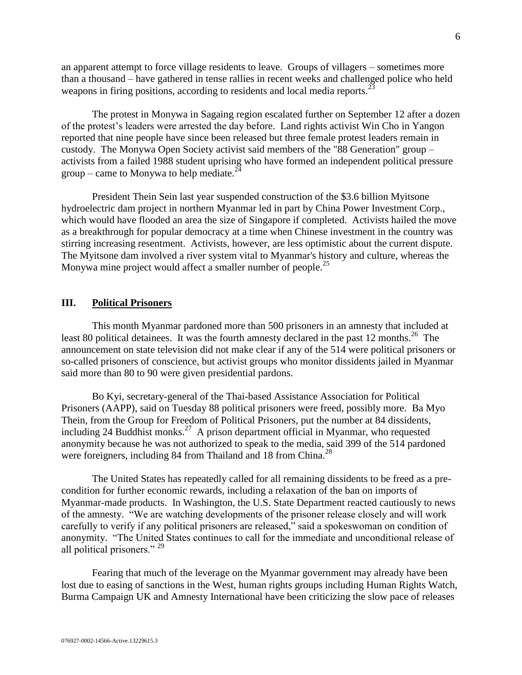an apparent attempt to force village residents to leave. Groups of villagers – sometimes more than a thousand – have gathered in tense rallies in recent weeks and challenged police who held weapons in firing positions, according to residents and local media reports.<sup>23</sup>

The protest in Monywa in Sagaing region escalated further on September 12 after a dozen of the protest's leaders were arrested the day before. Land rights activist Win Cho in Yangon reported that nine people have since been released but three female protest leaders remain in custody. The Monywa Open Society activist said members of the "88 Generation" group – activists from a failed 1988 student uprising who have formed an independent political pressure group – came to Monywa to help mediate.<sup>24</sup>

President Thein Sein last year suspended construction of the \$3.6 billion Myitsone hydroelectric dam project in northern Myanmar led in part by China Power Investment Corp., which would have flooded an area the size of Singapore if completed. Activists hailed the move as a breakthrough for popular democracy at a time when Chinese investment in the country was stirring increasing resentment. Activists, however, are less optimistic about the current dispute. The Myitsone dam involved a river system vital to Myanmar's history and culture, whereas the Monywa mine project would affect a smaller number of people.<sup>25</sup>

#### <span id="page-5-0"></span>**III. Political Prisoners**

This month Myanmar pardoned more than 500 prisoners in an amnesty that included at least 80 political detainees. It was the fourth amnesty declared in the past 12 months.<sup>26</sup> The announcement on state television did not make clear if any of the 514 were political prisoners or so-called prisoners of conscience, but activist groups who monitor dissidents jailed in Myanmar said more than 80 to 90 were given presidential pardons.

Bo Kyi, secretary-general of the Thai-based Assistance Association for Political Prisoners (AAPP), said on Tuesday 88 political prisoners were freed, possibly more. Ba Myo Thein, from the Group for Freedom of Political Prisoners, put the number at 84 dissidents, including 24 Buddhist monks.<sup>27</sup> A prison department official in Myanmar, who requested anonymity because he was not authorized to speak to the media, said 399 of the 514 pardoned were foreigners, including 84 from Thailand and 18 from China.<sup>28</sup>

The United States has repeatedly called for all remaining dissidents to be freed as a precondition for further economic rewards, including a relaxation of the ban on imports of Myanmar-made products. In Washington, the U.S. State Department reacted cautiously to news of the amnesty. "We are watching developments of the prisoner release closely and will work carefully to verify if any political prisoners are released," said a spokeswoman on condition of anonymity. "The United States continues to call for the immediate and unconditional release of all political prisoners." <sup>29</sup>

Fearing that much of the leverage on the Myanmar government may already have been lost due to easing of sanctions in the West, human rights groups including Human Rights Watch, Burma Campaign UK and Amnesty International have been criticizing the slow pace of releases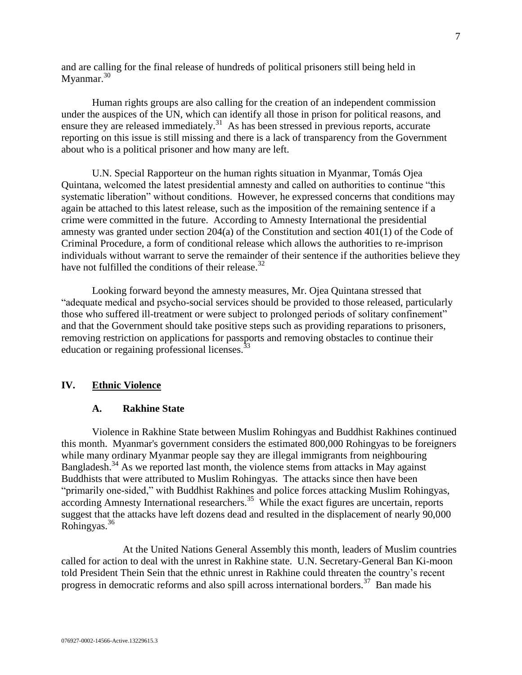and are calling for the final release of hundreds of political prisoners still being held in Myanmar.<sup>30</sup>

Human rights groups are also calling for the creation of an independent commission under the auspices of the UN, which can identify all those in prison for political reasons, and ensure they are released immediately.<sup>31</sup> As has been stressed in previous reports, accurate reporting on this issue is still missing and there is a lack of transparency from the Government about who is a political prisoner and how many are left.

U.N. Special Rapporteur on the human rights situation in Myanmar, Tomás Ojea Quintana, welcomed the latest presidential amnesty and called on authorities to continue "this systematic liberation" without conditions. However, he expressed concerns that conditions may again be attached to this latest release, such as the imposition of the remaining sentence if a crime were committed in the future. According to Amnesty International the presidential amnesty was granted under section 204(a) of the Constitution and section 401(1) of the Code of Criminal Procedure, a form of conditional release which allows the authorities to re-imprison individuals without warrant to serve the remainder of their sentence if the authorities believe they have not fulfilled the conditions of their release.<sup>32</sup>

Looking forward beyond the amnesty measures, Mr. Ojea Quintana stressed that "adequate medical and psycho-social services should be provided to those released, particularly those who suffered ill-treatment or were subject to prolonged periods of solitary confinement" and that the Government should take positive steps such as providing reparations to prisoners, removing restriction on applications for passports and removing obstacles to continue their education or regaining professional licenses. $^{33}$ 

#### <span id="page-6-1"></span><span id="page-6-0"></span>**IV. Ethnic Violence**

#### **A. Rakhine State**

Violence in Rakhine State between Muslim Rohingyas and Buddhist Rakhines continued this month. Myanmar's government considers the estimated 800,000 Rohingyas to be foreigners while many ordinary Myanmar people say they are illegal immigrants from neighbouring Bangladesh.<sup>34</sup> As we reported last month, the violence stems from attacks in May against Buddhists that were attributed to Muslim Rohingyas. The attacks since then have been "primarily one-sided," with Buddhist Rakhines and police forces attacking Muslim Rohingyas, according Amnesty International researchers.<sup>35</sup> While the exact figures are uncertain, reports suggest that the attacks have left dozens dead and resulted in the displacement of nearly 90,000 Rohingyas.<sup>36</sup>

At the United Nations General Assembly this month, leaders of Muslim countries called for action to deal with the unrest in Rakhine state. U.N. Secretary-General Ban Ki-moon told President Thein Sein that the ethnic unrest in Rakhine could threaten the country's recent progress in democratic reforms and also spill across international borders.<sup>37</sup> Ban made his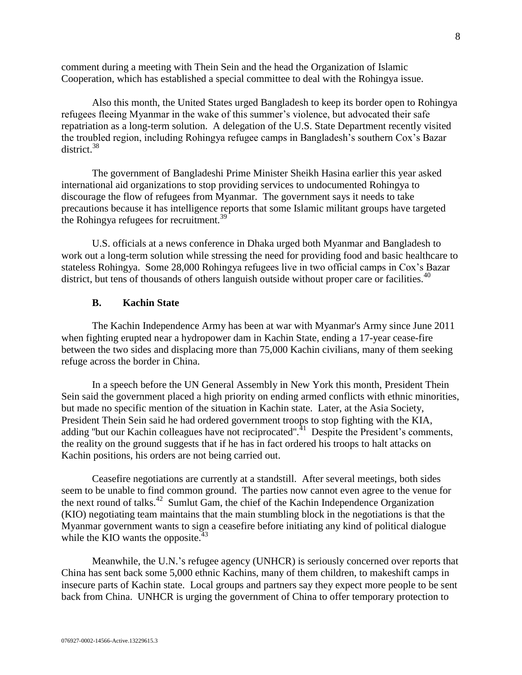comment during a meeting with Thein Sein and the head the Organization of Islamic Cooperation, which has established a special committee to deal with the Rohingya issue.

Also this month, the United States urged Bangladesh to keep its border open to Rohingya refugees fleeing Myanmar in the wake of this summer's violence, but advocated their safe repatriation as a long-term solution. A delegation of the U.S. State Department recently visited the troubled region, including Rohingya refugee camps in Bangladesh's southern Cox's Bazar district.<sup>38</sup>

The government of Bangladeshi Prime Minister Sheikh Hasina earlier this year asked international aid organizations to stop providing services to undocumented Rohingya to discourage the flow of refugees from Myanmar. The government says it needs to take precautions because it has intelligence reports that some Islamic militant groups have targeted the Rohingya refugees for recruitment.<sup>39</sup>

U.S. officials at a news conference in Dhaka urged both Myanmar and Bangladesh to work out a long-term solution while stressing the need for providing food and basic healthcare to stateless Rohingya. Some 28,000 Rohingya refugees live in two official camps in Cox's Bazar district, but tens of thousands of others languish outside without proper care or facilities.<sup>40</sup>

#### **B. Kachin State**

<span id="page-7-0"></span>The Kachin Independence Army has been at war with Myanmar's Army since June 2011 when fighting erupted near a hydropower dam in [Kachin State,](http://www.csmonitor.com/tags/topic/Kachin+State) ending a 17-year cease-fire between the two sides and displacing more than 75,000 Kachin civilians, many of them seeking refuge across the border in China.

In a speech before the UN General Assembly in New York this month, President Thein Sein said the government placed a high priority on ending armed conflicts with ethnic minorities, but made no specific mention of the situation in Kachin state. Later, at the Asia Society, President Thein Sein said he had ordered government troops to stop fighting with the KIA, adding "but our Kachin colleagues have not reciprocated".<sup>41</sup> Despite the President's comments, the reality on the ground suggests that if he has in fact ordered his troops to halt attacks on Kachin positions, his orders are not being carried out.

Ceasefire negotiations are currently at a standstill. After several meetings, both sides seem to be unable to find common ground. The parties now cannot even agree to the venue for the next round of talks.<sup>42</sup> Sumlut Gam, the chief of the Kachin Independence Organization (KIO) negotiating team maintains that the main stumbling block in the negotiations is that the Myanmar government wants to sign a ceasefire before initiating any kind of political dialogue while the KIO wants the opposite. $43$ 

Meanwhile, the U.N.'s refugee agency (UNHCR) is seriously concerned over reports that China has sent back some 5,000 ethnic Kachins, many of them children, to makeshift camps in insecure parts of Kachin state. Local groups and partners say they expect more people to be sent back from China. UNHCR is urging the government of China to offer temporary protection to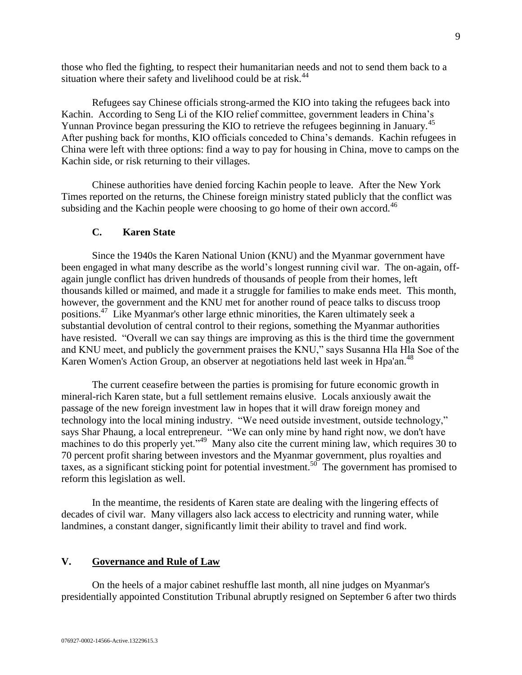those who fled the fighting, to respect their humanitarian needs and not to send them back to a situation where their safety and livelihood could be at risk. $44$ 

Refugees say Chinese officials strong-armed the KIO into taking the refugees back into Kachin. According to Seng Li of the KIO relief committee, government leaders in China's Yunnan Province began pressuring the KIO to retrieve the refugees beginning in January.<sup>45</sup> After pushing back for months, KIO officials conceded to China's demands. Kachin refugees in China were left with three options: find a way to pay for housing in China, move to camps on the Kachin side, or risk returning to their villages.

Chinese authorities have denied forcing Kachin people to leave. After the New York Times reported on the returns, the Chinese foreign ministry [stated](http://www.nytimes.com/2012/08/26/world/asia/chinese-deny-forcing-refugees-to-myanmar.html) publicly that the conflict was subsiding and the Kachin people were choosing to go home of their own accord.<sup>46</sup>

#### **C. Karen State**

<span id="page-8-0"></span>Since the 1940s the [Karen National Union \(KNU\)](http://www.csmonitor.com/tags/topic/Karen+National+Union) and the Myanmar government have been engaged in what many describe as the world's longest running civil war. The on-again, offagain jungle conflict has driven hundreds of thousands of people from their homes, left thousands killed or maimed, and made it a struggle for families to make ends meet. This month, however, the government and the KNU met for another round of peace talks to discuss troop positions.<sup>47</sup> Like Myanmar's other large ethnic minorities, the Karen ultimately seek a substantial devolution of central control to their regions, something the Myanmar authorities have resisted. "Overall we can say things are improving as this is the third time the government and KNU meet, and publicly the government praises the KNU," says Susanna Hla Hla Soe of the Karen Women's Action Group, an observer at negotiations held last week in Hpa'an.<sup>48</sup>

The current ceasefire between the parties is promising for future economic growth in mineral-rich Karen state, but a full settlement remains elusive. Locals anxiously await the passage of the new foreign investment law in hopes that it will draw foreign money and technology into the local mining industry. "We need outside investment, outside technology," says Shar Phaung, a local entrepreneur. "We can only mine by hand right now, we don't have machines to do this properly yet."<sup>49</sup> Many also cite the current mining law, which requires 30 to 70 percent profit sharing between investors and the Myanmar government, plus royalties and taxes, as a significant sticking point for potential investment.<sup>50</sup> The government has promised to reform this legislation as well.

In the meantime, the residents of Karen state are dealing with the lingering effects of decades of civil war. Many villagers also lack access to electricity and running water, while landmines, a constant danger, significantly limit their ability to travel and find work.

#### <span id="page-8-1"></span>**V. Governance and Rule of Law**

On the heels of a major cabinet reshuffle last month, all nine judges on Myanmar's presidentially appointed Constitution Tribunal abruptly resigned on September 6 after two thirds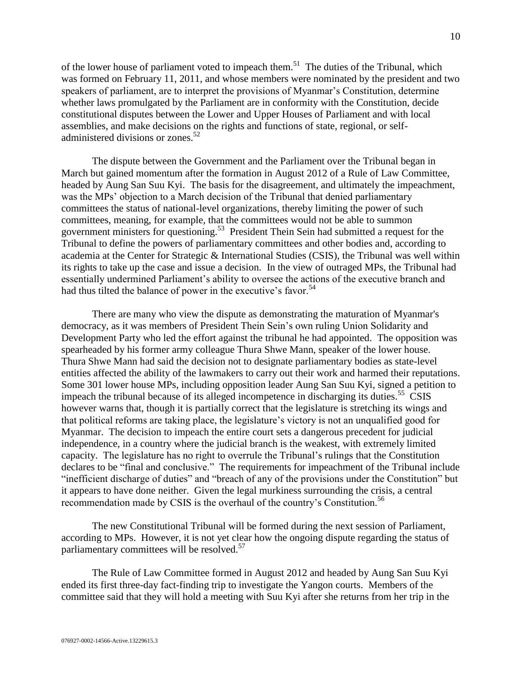of the lower house of parliament voted to impeach them.<sup>51</sup> The duties of the Tribunal, which was formed on February 11, 2011, and whose members were nominated by the president and two speakers of parliament, are to interpret the provisions of Myanmar's Constitution, determine whether laws promulgated by the Parliament are in conformity with the Constitution, decide constitutional disputes between the Lower and Upper Houses of Parliament and with local assemblies, and make decisions on the rights and functions of state, regional, or selfadministered divisions or zones.<sup>52</sup>

The dispute between the Government and the Parliament over the Tribunal began in March but gained momentum after the formation in August 2012 of a Rule of Law Committee, headed by Aung San Suu Kyi. The basis for the disagreement, and ultimately the impeachment, was the MPs' objection to a March decision of the Tribunal that denied parliamentary committees the status of national-level organizations, thereby limiting the power of such committees, meaning, for example, that the committees would not be able to summon government ministers for questioning.<sup>53</sup> President Thein Sein had submitted a request for the Tribunal to define the powers of parliamentary committees and other bodies and, according to academia at the Center for Strategic & International Studies (CSIS), the Tribunal was well within its rights to take up the case and issue a decision. In the view of outraged MPs, the Tribunal had essentially undermined Parliament's ability to oversee the actions of the executive branch and had thus tilted the balance of power in the executive's favor.<sup>54</sup>

There are many who view the dispute as demonstrating the maturation of Myanmar's democracy, as it was members of President Thein Sein's own ruling Union Solidarity and Development Party who led the effort against the tribunal he had appointed. The opposition was spearheaded by his former army colleague Thura Shwe Mann, speaker of the lower house. Thura Shwe Mann had said the decision not to designate parliamentary bodies as state-level entities affected the ability of the lawmakers to carry out their work and harmed their reputations. Some 301 lower house MPs, including opposition leader Aung San Suu Kyi, signed a petition to impeach the tribunal because of its alleged incompetence in discharging its duties.<sup>55</sup> CSIS however warns that, though it is partially correct that the legislature is stretching its wings and that political reforms are taking place, the legislature's victory is not an unqualified good for Myanmar. The decision to impeach the entire court sets a dangerous precedent for judicial independence, in a country where the judicial branch is the weakest, with extremely limited capacity. The legislature has no right to overrule the Tribunal's rulings that the Constitution declares to be "final and conclusive." The requirements for impeachment of the Tribunal include "inefficient discharge of duties" and "breach of any of the provisions under the Constitution" but it appears to have done neither. Given the legal murkiness surrounding the crisis, a central recommendation made by CSIS is the overhaul of the country's Constitution.<sup>56</sup>

The new Constitutional Tribunal will be formed during the next session of Parliament, according to MPs. However, it is not yet clear how the ongoing dispute regarding the status of parliamentary committees will be resolved.<sup>57</sup>

The Rule of Law Committee formed in August 2012 and headed by Aung San Suu Kyi ended its first three-day fact-finding trip to investigate the Yangon courts. Members of the committee said that they will hold a meeting with Suu Kyi after she returns from her trip in the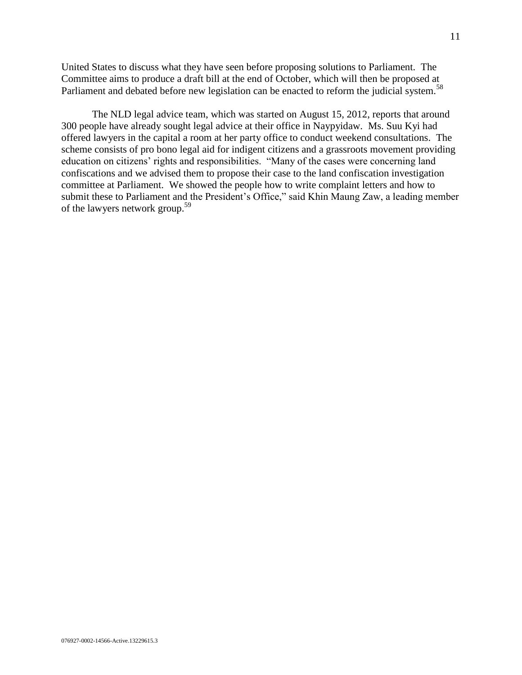United States to discuss what they have seen before proposing solutions to Parliament. The Committee aims to produce a draft bill at the end of October, which will then be proposed at Parliament and debated before new legislation can be enacted to reform the judicial system.<sup>58</sup>

The NLD legal advice team, which was started on August 15, 2012, reports that around 300 people have already sought legal advice at their office in Naypyidaw. Ms. Suu Kyi had offered lawyers in the capital a room at her party office to conduct weekend consultations. The scheme consists of pro bono legal aid for indigent citizens and a grassroots movement providing education on citizens' rights and responsibilities. "Many of the cases were concerning land confiscations and we advised them to propose their case to the land confiscation investigation committee at Parliament. We showed the people how to write complaint letters and how to submit these to Parliament and the President's Office," said Khin Maung Zaw, a leading member of the lawyers network group.<sup>59</sup>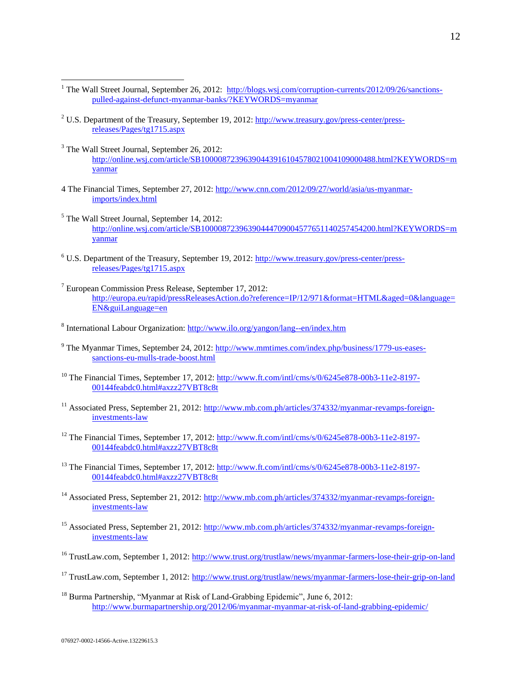- <sup>1</sup> The Wall Street Journal, September 26, 2012: http://blogs.wsj.com/corruption-currents/2012/09/26/sanctionspulled-against-defunct-myanmar-banks/?KEYWORDS=myanmar
- <sup>2</sup> U.S. Department of the Treasury, September 19, 2012: [http://www.treasury.gov/press-center/press](http://www.treasury.gov/press-center/press-releases/Pages/tg1715.aspx)[releases/Pages/tg1715.aspx](http://www.treasury.gov/press-center/press-releases/Pages/tg1715.aspx)
- <sup>3</sup> The Wall Street Journal, September 26, 2012: http://online.wsj.com/article/SB10000872396390443916104578021004109000488.html?KEYWORDS=m yanmar
- 4 The Financial Times, September 27, 2012: http://www.cnn.com/2012/09/27/world/asia/us-myanmarimports/index.html
- <sup>5</sup> The Wall Street Journal, September 14, 2012: http://online.wsj.com/article/SB10000872396390444709004577651140257454200.html?KEYWORDS=m yanmar
- <sup>6</sup> U.S. Department of the Treasury, September 19, 2012: [http://www.treasury.gov/press-center/press](http://www.treasury.gov/press-center/press-releases/Pages/tg1715.aspx)[releases/Pages/tg1715.aspx](http://www.treasury.gov/press-center/press-releases/Pages/tg1715.aspx)
- <sup>7</sup> European Commission Press Release, September 17, 2012: [http://europa.eu/rapid/pressReleasesAction.do?reference=IP/12/971&format=HTML&aged=0&language=](http://europa.eu/rapid/pressReleasesAction.do?reference=IP/12/971&format=HTML&aged=0&language=EN&guiLanguage=en) [EN&guiLanguage=en](http://europa.eu/rapid/pressReleasesAction.do?reference=IP/12/971&format=HTML&aged=0&language=EN&guiLanguage=en)
- <sup>8</sup> International Labour Organization:<http://www.ilo.org/yangon/lang--en/index.htm>
- <sup>9</sup> The Myanmar Times, September 24, 2012[: http://www.mmtimes.com/index.php/business/1779-us-eases](http://www.mmtimes.com/index.php/business/1779-us-eases-sanctions-eu-mulls-trade-boost.html)[sanctions-eu-mulls-trade-boost.html](http://www.mmtimes.com/index.php/business/1779-us-eases-sanctions-eu-mulls-trade-boost.html)
- <sup>10</sup> The Financial Times, September 17, 2012: [http://www.ft.com/intl/cms/s/0/6245e878-00b3-11e2-8197-](http://www.ft.com/intl/cms/s/0/6245e878-00b3-11e2-8197-00144feabdc0.html#axzz27VBT8c8t) [00144feabdc0.html#axzz27VBT8c8t](http://www.ft.com/intl/cms/s/0/6245e878-00b3-11e2-8197-00144feabdc0.html#axzz27VBT8c8t)
- <sup>11</sup> Associated Press, September 21, 2012: [http://www.mb.com.ph/articles/374332/myanmar-revamps-foreign](http://www.mb.com.ph/articles/374332/myanmar-revamps-foreign-investments-law)[investments-law](http://www.mb.com.ph/articles/374332/myanmar-revamps-foreign-investments-law)
- <sup>12</sup> The Financial Times, September 17, 2012: [http://www.ft.com/intl/cms/s/0/6245e878-00b3-11e2-8197-](http://www.ft.com/intl/cms/s/0/6245e878-00b3-11e2-8197-00144feabdc0.html#axzz27VBT8c8t) [00144feabdc0.html#axzz27VBT8c8t](http://www.ft.com/intl/cms/s/0/6245e878-00b3-11e2-8197-00144feabdc0.html#axzz27VBT8c8t)
- <sup>13</sup> The Financial Times, September 17, 2012: [http://www.ft.com/intl/cms/s/0/6245e878-00b3-11e2-8197-](http://www.ft.com/intl/cms/s/0/6245e878-00b3-11e2-8197-00144feabdc0.html#axzz27VBT8c8t) [00144feabdc0.html#axzz27VBT8c8t](http://www.ft.com/intl/cms/s/0/6245e878-00b3-11e2-8197-00144feabdc0.html#axzz27VBT8c8t)
- <sup>14</sup> Associated Press, September 21, 2012: [http://www.mb.com.ph/articles/374332/myanmar-revamps-foreign](http://www.mb.com.ph/articles/374332/myanmar-revamps-foreign-investments-law)[investments-law](http://www.mb.com.ph/articles/374332/myanmar-revamps-foreign-investments-law)
- <sup>15</sup> Associated Press, September 21, 2012: [http://www.mb.com.ph/articles/374332/myanmar-revamps-foreign](http://www.mb.com.ph/articles/374332/myanmar-revamps-foreign-investments-law)[investments-law](http://www.mb.com.ph/articles/374332/myanmar-revamps-foreign-investments-law)
- <sup>16</sup> TrustLaw.com, September 1, 2012:<http://www.trust.org/trustlaw/news/myanmar-farmers-lose-their-grip-on-land>
- <sup>17</sup> TrustLaw.com, September 1, 2012:<http://www.trust.org/trustlaw/news/myanmar-farmers-lose-their-grip-on-land>
- <sup>18</sup> Burma Partnership, "Myanmar at Risk of Land-Grabbing Epidemic", June 6, 2012: <http://www.burmapartnership.org/2012/06/myanmar-myanmar-at-risk-of-land-grabbing-epidemic/>

 $\overline{a}$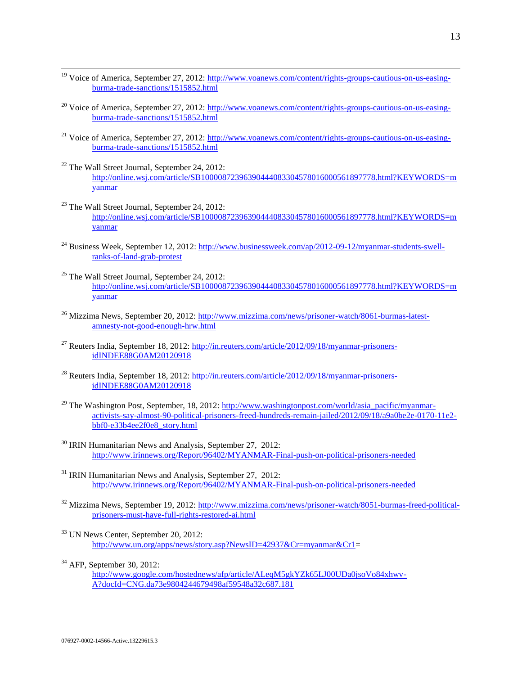- <sup>19</sup> Voice of America, September 27, 2012: [http://www.voanews.com/content/rights-groups-cautious-on-us-easing](http://www.voanews.com/content/rights-groups-cautious-on-us-easing-burma-trade-sanctions/1515852.html)[burma-trade-sanctions/1515852.html](http://www.voanews.com/content/rights-groups-cautious-on-us-easing-burma-trade-sanctions/1515852.html)
- <sup>20</sup> Voice of America, September 27, 2012: [http://www.voanews.com/content/rights-groups-cautious-on-us-easing](http://www.voanews.com/content/rights-groups-cautious-on-us-easing-burma-trade-sanctions/1515852.html)[burma-trade-sanctions/1515852.html](http://www.voanews.com/content/rights-groups-cautious-on-us-easing-burma-trade-sanctions/1515852.html)
- <sup>21</sup> Voice of America, September 27, 2012: [http://www.voanews.com/content/rights-groups-cautious-on-us-easing](http://www.voanews.com/content/rights-groups-cautious-on-us-easing-burma-trade-sanctions/1515852.html)[burma-trade-sanctions/1515852.html](http://www.voanews.com/content/rights-groups-cautious-on-us-easing-burma-trade-sanctions/1515852.html)
- <sup>22</sup> The Wall Street Journal, September 24, 2012: [http://online.wsj.com/article/SB10000872396390444083304578016000561897778.html?KEYWORDS=m](http://online.wsj.com/article/SB10000872396390444083304578016000561897778.html?KEYWORDS=myanmar) [yanmar](http://online.wsj.com/article/SB10000872396390444083304578016000561897778.html?KEYWORDS=myanmar)
- <sup>23</sup> The Wall Street Journal, September 24, 2012: [http://online.wsj.com/article/SB10000872396390444083304578016000561897778.html?KEYWORDS=m](http://online.wsj.com/article/SB10000872396390444083304578016000561897778.html?KEYWORDS=myanmar) [yanmar](http://online.wsj.com/article/SB10000872396390444083304578016000561897778.html?KEYWORDS=myanmar)
- <sup>24</sup> Business Week, September 12, 2012: [http://www.businessweek.com/ap/2012-09-12/myanmar-students-swell](http://www.businessweek.com/ap/2012-09-12/myanmar-students-swell-ranks-of-land-grab-protest)[ranks-of-land-grab-protest](http://www.businessweek.com/ap/2012-09-12/myanmar-students-swell-ranks-of-land-grab-protest)
- <sup>25</sup> The Wall Street Journal, September 24, 2012: [http://online.wsj.com/article/SB10000872396390444083304578016000561897778.html?KEYWORDS=m](http://online.wsj.com/article/SB10000872396390444083304578016000561897778.html?KEYWORDS=myanmar) [yanmar](http://online.wsj.com/article/SB10000872396390444083304578016000561897778.html?KEYWORDS=myanmar)
- <sup>26</sup> Mizzima News, September 20, 2012: [http://www.mizzima.com/news/prisoner-watch/8061-burmas-latest](http://www.mizzima.com/news/prisoner-watch/8061-burmas-latest-amnesty-not-good-enough-hrw.html)[amnesty-not-good-enough-hrw.html](http://www.mizzima.com/news/prisoner-watch/8061-burmas-latest-amnesty-not-good-enough-hrw.html)
- <sup>27</sup> Reuters India, September 18, 2012: [http://in.reuters.com/article/2012/09/18/myanmar-prisoners](http://in.reuters.com/article/2012/09/18/myanmar-prisoners-idINDEE88G0AM20120918)[idINDEE88G0AM20120918](http://in.reuters.com/article/2012/09/18/myanmar-prisoners-idINDEE88G0AM20120918)
- <sup>28</sup> Reuters India, September 18, 2012: [http://in.reuters.com/article/2012/09/18/myanmar-prisoners](http://in.reuters.com/article/2012/09/18/myanmar-prisoners-idINDEE88G0AM20120918)[idINDEE88G0AM20120918](http://in.reuters.com/article/2012/09/18/myanmar-prisoners-idINDEE88G0AM20120918)
- <sup>29</sup> The Washington Post, September, 18, 2012: [http://www.washingtonpost.com/world/asia\\_pacific/myanmar](http://www.washingtonpost.com/world/asia_pacific/myanmar-activists-say-almost-90-political-prisoners-freed-hundreds-remain-jailed/2012/09/18/a9a0be2e-0170-11e2-bbf0-e33b4ee2f0e8_story.html)[activists-say-almost-90-political-prisoners-freed-hundreds-remain-jailed/2012/09/18/a9a0be2e-0170-11e2](http://www.washingtonpost.com/world/asia_pacific/myanmar-activists-say-almost-90-political-prisoners-freed-hundreds-remain-jailed/2012/09/18/a9a0be2e-0170-11e2-bbf0-e33b4ee2f0e8_story.html) [bbf0-e33b4ee2f0e8\\_story.html](http://www.washingtonpost.com/world/asia_pacific/myanmar-activists-say-almost-90-political-prisoners-freed-hundreds-remain-jailed/2012/09/18/a9a0be2e-0170-11e2-bbf0-e33b4ee2f0e8_story.html)
- <sup>30</sup> IRIN Humanitarian News and Analysis, September 27, 2012: <http://www.irinnews.org/Report/96402/MYANMAR-Final-push-on-political-prisoners-needed>
- <sup>31</sup> IRIN Humanitarian News and Analysis, September 27, 2012: <http://www.irinnews.org/Report/96402/MYANMAR-Final-push-on-political-prisoners-needed>
- <sup>32</sup> Mizzima News, September 19, 2012: [http://www.mizzima.com/news/prisoner-watch/8051-burmas-freed-political](http://www.mizzima.com/news/prisoner-watch/8051-burmas-freed-political-prisoners-must-have-full-rights-restored-ai.html)[prisoners-must-have-full-rights-restored-ai.html](http://www.mizzima.com/news/prisoner-watch/8051-burmas-freed-political-prisoners-must-have-full-rights-restored-ai.html)
- <sup>33</sup> UN News Center, September 20, 2012: [http://www.un.org/apps/news/story.asp?NewsID=42937&Cr=myanmar&Cr1=](http://www.un.org/apps/news/story.asp?NewsID=42937&Cr=myanmar&Cr1)
- $34$  AFP, September 30, 2012:

 $\overline{a}$ 

[http://www.google.com/hostednews/afp/article/ALeqM5gkYZk65LJ00UDa0jsoVo84xhwv-](http://www.google.com/hostednews/afp/article/ALeqM5gkYZk65LJ00UDa0jsoVo84xhwv-A?docId=CNG.da73e9804244679498af59548a32c687.181)[A?docId=CNG.da73e9804244679498af59548a32c687.181](http://www.google.com/hostednews/afp/article/ALeqM5gkYZk65LJ00UDa0jsoVo84xhwv-A?docId=CNG.da73e9804244679498af59548a32c687.181)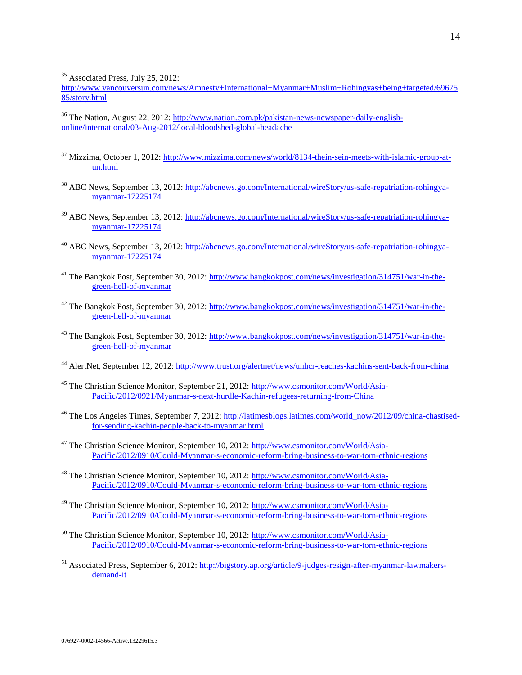<sup>35</sup> Associated Press, July 25, 2012:

 $\overline{a}$ 

http://www.vancouversun.com/news/Amnesty+International+Myanmar+Muslim+Rohingyas+being+targeted/69675 85/story.html

<sup>36</sup> The Nation, August 22, 2012: [http://www.nation.com.pk/pakistan-news-newspaper-daily-english](http://www.nation.com.pk/pakistan-news-newspaper-daily-english-online/international/03-Aug-2012/local-bloodshed-global-headache)[online/international/03-Aug-2012/local-bloodshed-global-headache](http://www.nation.com.pk/pakistan-news-newspaper-daily-english-online/international/03-Aug-2012/local-bloodshed-global-headache)

- <sup>37</sup> Mizzima, October 1, 2012[: http://www.mizzima.com/news/world/8134-thein-sein-meets-with-islamic-group-at](http://www.mizzima.com/news/world/8134-thein-sein-meets-with-islamic-group-at-un.html)[un.html](http://www.mizzima.com/news/world/8134-thein-sein-meets-with-islamic-group-at-un.html)
- <sup>38</sup> ABC News, September 13, 2012: [http://abcnews.go.com/International/wireStory/us-safe-repatriation-rohingya](http://abcnews.go.com/International/wireStory/us-safe-repatriation-rohingya-myanmar-17225174)[myanmar-17225174](http://abcnews.go.com/International/wireStory/us-safe-repatriation-rohingya-myanmar-17225174)
- <sup>39</sup> ABC News, September 13, 2012: [http://abcnews.go.com/International/wireStory/us-safe-repatriation-rohingya](http://abcnews.go.com/International/wireStory/us-safe-repatriation-rohingya-myanmar-17225174)[myanmar-17225174](http://abcnews.go.com/International/wireStory/us-safe-repatriation-rohingya-myanmar-17225174)
- <sup>40</sup> ABC News, September 13, 2012: [http://abcnews.go.com/International/wireStory/us-safe-repatriation-rohingya](http://abcnews.go.com/International/wireStory/us-safe-repatriation-rohingya-myanmar-17225174)[myanmar-17225174](http://abcnews.go.com/International/wireStory/us-safe-repatriation-rohingya-myanmar-17225174)
- <sup>41</sup> The Bangkok Post, September 30, 2012: [http://www.bangkokpost.com/news/investigation/314751/war-in-the](http://www.bangkokpost.com/news/investigation/314751/war-in-the-green-hell-of-myanmar)[green-hell-of-myanmar](http://www.bangkokpost.com/news/investigation/314751/war-in-the-green-hell-of-myanmar)
- <sup>42</sup> The Bangkok Post, September 30, 2012: [http://www.bangkokpost.com/news/investigation/314751/war-in-the](http://www.bangkokpost.com/news/investigation/314751/war-in-the-green-hell-of-myanmar)[green-hell-of-myanmar](http://www.bangkokpost.com/news/investigation/314751/war-in-the-green-hell-of-myanmar)
- <sup>43</sup> The Bangkok Post, September 30, 2012: [http://www.bangkokpost.com/news/investigation/314751/war-in-the](http://www.bangkokpost.com/news/investigation/314751/war-in-the-green-hell-of-myanmar)[green-hell-of-myanmar](http://www.bangkokpost.com/news/investigation/314751/war-in-the-green-hell-of-myanmar)
- <sup>44</sup> AlertNet, September 12, 2012:<http://www.trust.org/alertnet/news/unhcr-reaches-kachins-sent-back-from-china>
- <sup>45</sup> The Christian Science Monitor, September 21, 2012: [http://www.csmonitor.com/World/Asia-](http://www.csmonitor.com/World/Asia-Pacific/2012/0921/Myanmar-s-next-hurdle-Kachin-refugees-returning-from-China)[Pacific/2012/0921/Myanmar-s-next-hurdle-Kachin-refugees-returning-from-China](http://www.csmonitor.com/World/Asia-Pacific/2012/0921/Myanmar-s-next-hurdle-Kachin-refugees-returning-from-China)
- <sup>46</sup> The Los Angeles Times, September 7, 2012: [http://latimesblogs.latimes.com/world\\_now/2012/09/china-chastised](http://latimesblogs.latimes.com/world_now/2012/09/china-chastised-for-sending-kachin-people-back-to-myanmar.html)[for-sending-kachin-people-back-to-myanmar.html](http://latimesblogs.latimes.com/world_now/2012/09/china-chastised-for-sending-kachin-people-back-to-myanmar.html)
- <sup>47</sup> The Christian Science Monitor, September 10, 2012: [http://www.csmonitor.com/World/Asia-](http://www.csmonitor.com/World/Asia-Pacific/2012/0910/Could-Myanmar-s-economic-reform-bring-business-to-war-torn-ethnic-regions)[Pacific/2012/0910/Could-Myanmar-s-economic-reform-bring-business-to-war-torn-ethnic-regions](http://www.csmonitor.com/World/Asia-Pacific/2012/0910/Could-Myanmar-s-economic-reform-bring-business-to-war-torn-ethnic-regions)
- <sup>48</sup> The Christian Science Monitor, September 10, 2012: [http://www.csmonitor.com/World/Asia-](http://www.csmonitor.com/World/Asia-Pacific/2012/0910/Could-Myanmar-s-economic-reform-bring-business-to-war-torn-ethnic-regions)[Pacific/2012/0910/Could-Myanmar-s-economic-reform-bring-business-to-war-torn-ethnic-regions](http://www.csmonitor.com/World/Asia-Pacific/2012/0910/Could-Myanmar-s-economic-reform-bring-business-to-war-torn-ethnic-regions)
- <sup>49</sup> The Christian Science Monitor, September 10, 2012: [http://www.csmonitor.com/World/Asia-](http://www.csmonitor.com/World/Asia-Pacific/2012/0910/Could-Myanmar-s-economic-reform-bring-business-to-war-torn-ethnic-regions)[Pacific/2012/0910/Could-Myanmar-s-economic-reform-bring-business-to-war-torn-ethnic-regions](http://www.csmonitor.com/World/Asia-Pacific/2012/0910/Could-Myanmar-s-economic-reform-bring-business-to-war-torn-ethnic-regions)
- <sup>50</sup> The Christian Science Monitor, September 10, 2012: [http://www.csmonitor.com/World/Asia-](http://www.csmonitor.com/World/Asia-Pacific/2012/0910/Could-Myanmar-s-economic-reform-bring-business-to-war-torn-ethnic-regions)[Pacific/2012/0910/Could-Myanmar-s-economic-reform-bring-business-to-war-torn-ethnic-regions](http://www.csmonitor.com/World/Asia-Pacific/2012/0910/Could-Myanmar-s-economic-reform-bring-business-to-war-torn-ethnic-regions)
- <sup>51</sup> Associated Press, September 6, 2012: [http://bigstory.ap.org/article/9-judges-resign-after-myanmar-lawmakers](http://bigstory.ap.org/article/9-judges-resign-after-myanmar-lawmakers-demand-it)[demand-it](http://bigstory.ap.org/article/9-judges-resign-after-myanmar-lawmakers-demand-it)